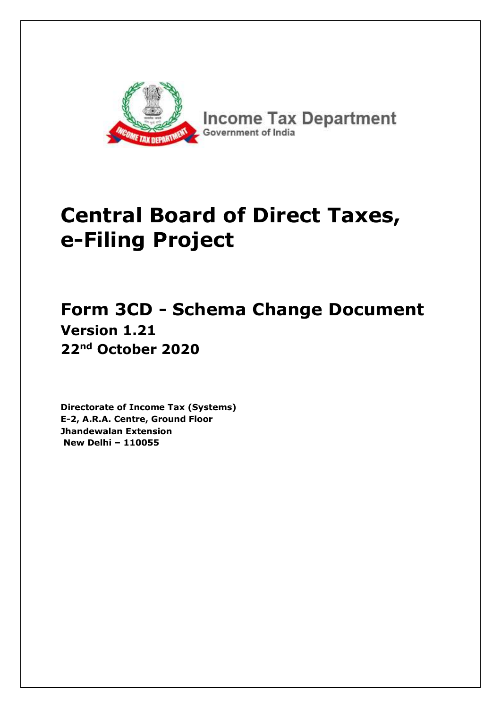

## **Central Board of Direct Taxes, e-Filing Project**

## **Form 3CD - Schema Change Document Version 1.21 22nd October 2020**

**Directorate of Income Tax (Systems) E-2, A.R.A. Centre, Ground Floor Jhandewalan Extension New Delhi – 110055**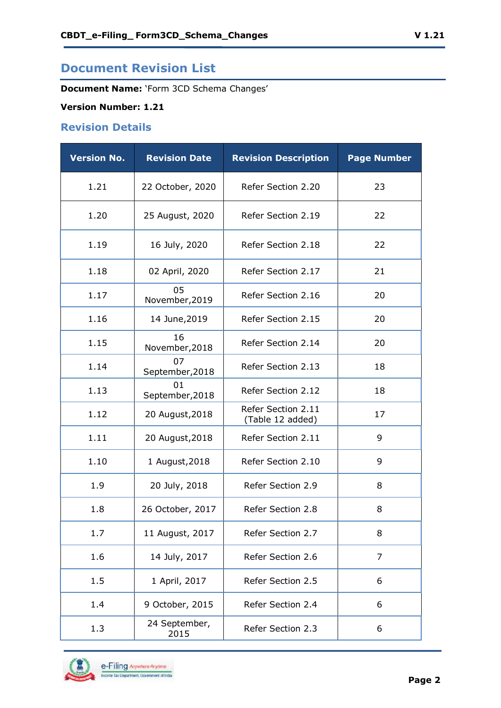## **Document Revision List**

**Document Name:** 'Form 3CD Schema Changes'

#### **Version Number: 1.21**

#### **Revision Details**

| <b>Version No.</b> | <b>Revision Date</b>  | <b>Revision Description</b>            | <b>Page Number</b> |
|--------------------|-----------------------|----------------------------------------|--------------------|
| 1.21               | 22 October, 2020      | Refer Section 2.20                     | 23                 |
| 1.20               | 25 August, 2020       | Refer Section 2.19                     | 22                 |
| 1.19               | 16 July, 2020         | Refer Section 2.18                     | 22                 |
| 1.18               | 02 April, 2020        | Refer Section 2.17                     | 21                 |
| 1.17               | 05<br>November, 2019  | Refer Section 2.16                     | 20                 |
| 1.16               | 14 June, 2019         | Refer Section 2.15                     | 20                 |
| 1.15               | 16<br>November, 2018  | Refer Section 2.14                     | 20                 |
| 1.14               | 07<br>September, 2018 | Refer Section 2.13                     | 18                 |
| 1.13               | 01<br>September, 2018 | Refer Section 2.12                     | 18                 |
| 1.12               | 20 August, 2018       | Refer Section 2.11<br>(Table 12 added) | 17                 |
| 1.11               | 20 August, 2018       | Refer Section 2.11                     | 9                  |
| 1.10               | 1 August, 2018        | Refer Section 2.10                     | 9                  |
| 1.9                | 20 July, 2018         | Refer Section 2.9                      | 8                  |
| 1.8                | 26 October, 2017      | Refer Section 2.8                      | 8                  |
| 1.7                | 11 August, 2017       | Refer Section 2.7                      | 8                  |
| 1.6                | 14 July, 2017         | Refer Section 2.6                      | $\overline{7}$     |
| 1.5                | 1 April, 2017         | Refer Section 2.5                      | 6                  |
| 1.4                | 9 October, 2015       | Refer Section 2.4                      | 6                  |
| 1.3                | 24 September,<br>2015 | Refer Section 2.3                      | 6                  |

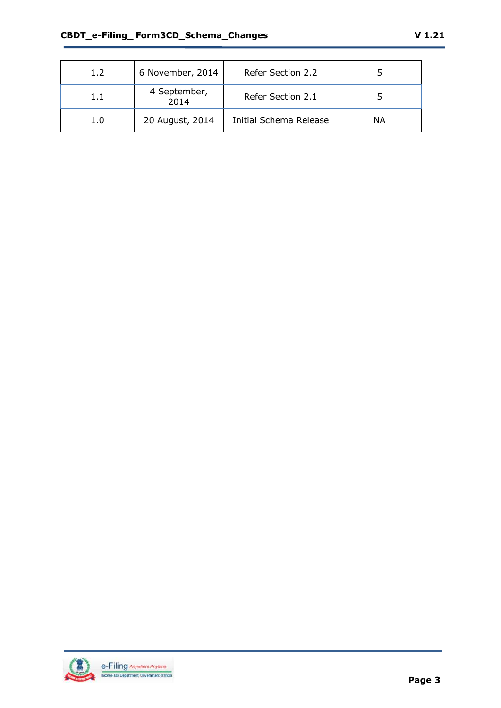| 1.2     | 6 November, 2014     | Refer Section 2.2      |           |
|---------|----------------------|------------------------|-----------|
| $1.1\,$ | 4 September,<br>2014 | Refer Section 2.1      |           |
| 1.0     | 20 August, 2014      | Initial Schema Release | <b>NA</b> |

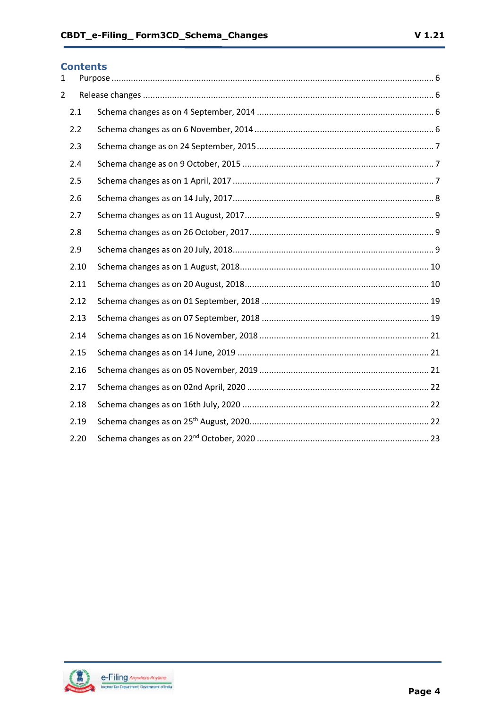#### **Contents**

| $\mathbf{1}$   |      |  |
|----------------|------|--|
| $\overline{2}$ |      |  |
|                | 2.1  |  |
|                | 2.2  |  |
|                | 2.3  |  |
|                | 2.4  |  |
|                | 2.5  |  |
|                | 2.6  |  |
|                | 2.7  |  |
|                | 2.8  |  |
|                | 2.9  |  |
|                | 2.10 |  |
|                | 2.11 |  |
|                | 2.12 |  |
|                | 2.13 |  |
|                | 2.14 |  |
|                | 2.15 |  |
|                | 2.16 |  |
|                | 2.17 |  |
|                | 2.18 |  |
|                | 2.19 |  |
|                | 2.20 |  |

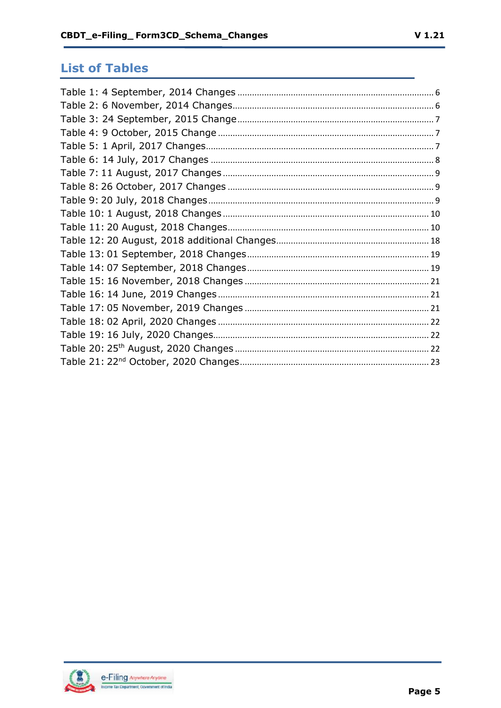## **List of Tables**

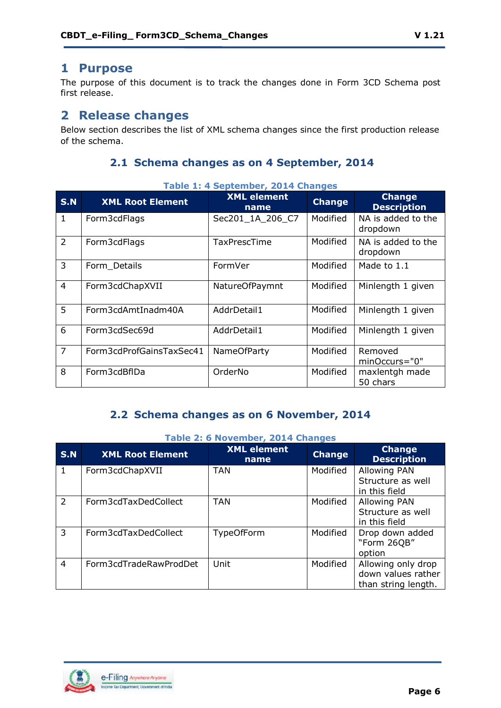## <span id="page-5-0"></span>**1 Purpose**

The purpose of this document is to track the changes done in Form 3CD Schema post first release.

## <span id="page-5-1"></span>**2 Release changes**

Below section describes the list of XML schema changes since the first production release of the schema.

### **2.1 Schema changes as on 4 September, 2014**

<span id="page-5-2"></span>

|                | Table 1: 4 September, 2014 Changes |                            |               |                                     |  |  |
|----------------|------------------------------------|----------------------------|---------------|-------------------------------------|--|--|
| <b>S.N</b>     | <b>XML Root Element</b>            | <b>XML element</b><br>name | <b>Change</b> | <b>Change</b><br><b>Description</b> |  |  |
| $\mathbf{1}$   | Form3cdFlags                       | Sec201_1A_206_C7           | Modified      | NA is added to the<br>dropdown      |  |  |
| $\overline{2}$ | Form3cdFlags                       | <b>TaxPrescTime</b>        | Modified      | NA is added to the<br>dropdown      |  |  |
| 3              | Form Details                       | FormVer                    | Modified      | Made to 1.1                         |  |  |
| $\overline{4}$ | Form3cdChapXVII                    | NatureOfPaymnt             | Modified      | Minlength 1 given                   |  |  |
| 5              | Form3cdAmtInadm40A                 | AddrDetail1                | Modified      | Minlength 1 given                   |  |  |
| 6              | Form3cdSec69d                      | AddrDetail1                | Modified      | Minlength 1 given                   |  |  |
| $\overline{7}$ | Form3cdProfGainsTaxSec41           | <b>NameOfParty</b>         | Modified      | Removed<br>minOccurs="0"            |  |  |
| 8              | Form3cdBflDa                       | OrderNo                    | Modified      | maxlentgh made<br>50 chars          |  |  |

#### Table 1: 4 September, 2014 Ch

## **2.2 Schema changes as on 6 November, 2014**

<span id="page-5-3"></span>

|                | Table 2: 6 November, 2014 Changes |                            |               |                                                                 |  |
|----------------|-----------------------------------|----------------------------|---------------|-----------------------------------------------------------------|--|
| <b>S.N</b>     | <b>XML Root Element</b>           | <b>XML element</b><br>name | <b>Change</b> | <b>Change</b><br><b>Description</b>                             |  |
| $\mathbf{1}$   | Form3cdChapXVII                   | <b>TAN</b>                 | Modified      | <b>Allowing PAN</b><br>Structure as well<br>in this field       |  |
| 2              | Form3cdTaxDedCollect              | <b>TAN</b>                 | Modified      | <b>Allowing PAN</b><br>Structure as well<br>in this field       |  |
| 3              | Form3cdTaxDedCollect              | <b>TypeOfForm</b>          | Modified      | Drop down added<br>"Form 26QB"<br>option                        |  |
| $\overline{4}$ | Form3cdTradeRawProdDet            | Unit                       | Modified      | Allowing only drop<br>down values rather<br>than string length. |  |

## **Table 2: 6 November, 2014 Changes**

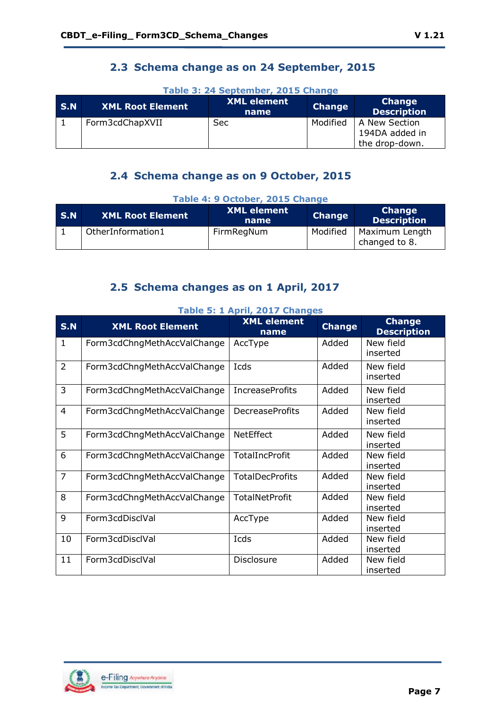## **2.3 Schema change as on 24 September, 2015**

<span id="page-6-0"></span>

| $\mid$ S.N | <b>XML Root Element</b> | <b>XML element</b><br>name | <b>Change</b> | <b>Change</b><br><b>Description</b>               |
|------------|-------------------------|----------------------------|---------------|---------------------------------------------------|
|            | Form3cdChapXVII         | Sec:                       | Modified      | A New Section<br>194DA added in<br>the drop-down. |

## **Table 3: 24 September, 2015 Change**

## **2.4 Schema change as on 9 October, 2015**

<span id="page-6-1"></span>

|       | Table 4. 9 October, 2015 Change |                            |               |                                     |  |  |
|-------|---------------------------------|----------------------------|---------------|-------------------------------------|--|--|
| l S.N | <b>XML Root Element</b>         | <b>XML element</b><br>name | <b>Change</b> | <b>Change</b><br><b>Description</b> |  |  |
|       | OtherInformation1               | FirmRegNum                 | Modified      | Maximum Length<br>changed to 8.     |  |  |

#### **Table 4: 9 October, 2015 Change**

## **2.5 Schema changes as on 1 April, 2017**

<span id="page-6-2"></span>

| <b>S.N</b>     | <b>XML Root Element</b>     | <b>XML element</b><br>name | <b>Change</b> | <b>Change</b><br><b>Description</b> |
|----------------|-----------------------------|----------------------------|---------------|-------------------------------------|
| 1              | Form3cdChngMethAccValChange | AccType                    | Added         | New field<br>inserted               |
| $\overline{2}$ | Form3cdChngMethAccValChange | Icds                       | Added         | New field<br>inserted               |
| $\overline{3}$ | Form3cdChngMethAccValChange | <b>IncreaseProfits</b>     | Added         | New field<br>inserted               |
| $\overline{4}$ | Form3cdChngMethAccValChange | <b>DecreaseProfits</b>     | Added         | New field<br>inserted               |
| 5              | Form3cdChngMethAccValChange | <b>NetEffect</b>           | Added         | New field<br>inserted               |
| 6              | Form3cdChngMethAccValChange | <b>TotalIncProfit</b>      | Added         | New field<br>inserted               |
| $\overline{7}$ | Form3cdChngMethAccValChange | <b>TotalDecProfits</b>     | Added         | New field<br>inserted               |
| 8              | Form3cdChngMethAccValChange | <b>TotalNetProfit</b>      | Added         | New field<br>inserted               |
| 9              | Form3cdDisclVal             | AccType                    | Added         | New field<br>inserted               |
| 10             | Form3cdDisclVal             | Icds                       | Added         | New field<br>inserted               |
| 11             | Form3cdDisclVal             | Disclosure                 | Added         | New field<br>inserted               |

#### **Table 5: 1 April, 2017 Changes**

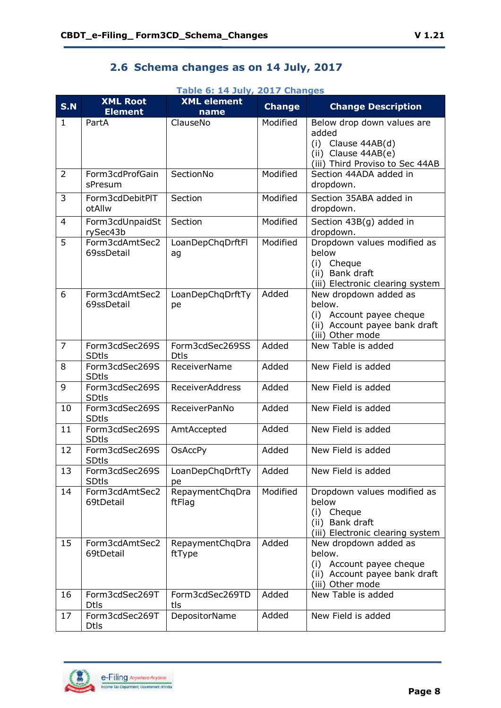## **2.6 Schema changes as on 14 July, 2017**

#### **Table 6: 14 July, 2017 Changes**

<span id="page-7-0"></span>

| S.N            | <b>XML Root</b><br><b>Element</b> | <b>XML</b> element<br>name     | <b>Change</b> | <b>Change Description</b>                                                                                                  |
|----------------|-----------------------------------|--------------------------------|---------------|----------------------------------------------------------------------------------------------------------------------------|
| $\mathbf{1}$   | PartA                             | ClauseNo                       | Modified      | Below drop down values are<br>added<br>$(i)$ Clause 44AB $(d)$<br>(ii) Clause $44AB(e)$<br>(iii) Third Proviso to Sec 44AB |
| $\overline{2}$ | Form3cdProfGain<br>sPresum        | SectionNo                      | Modified      | Section 44ADA added in<br>dropdown.                                                                                        |
| 3              | Form3cdDebitPIT<br>otAllw         | Section                        | Modified      | Section 35ABA added in<br>dropdown.                                                                                        |
| 4              | Form3cdUnpaidSt<br>rySec43b       | Section                        | Modified      | Section 43B(g) added in<br>dropdown.                                                                                       |
| 5              | Form3cdAmtSec2<br>69ssDetail      | LoanDepChqDrftFl<br>ag         | Modified      | Dropdown values modified as<br>below<br>(i) Cheque<br>(ii) Bank draft<br>(iii) Electronic clearing system                  |
| 6              | Form3cdAmtSec2<br>69ssDetail      | LoanDepChqDrftTy<br>pe         | Added         | New dropdown added as<br>below.<br>(i) Account payee cheque<br>(ii) Account payee bank draft<br>(iii) Other mode           |
| $\overline{7}$ | Form3cdSec269S<br><b>SDtls</b>    | Form3cdSec269SS<br><b>Dtls</b> | Added         | New Table is added                                                                                                         |
| 8              | Form3cdSec269S<br><b>SDtls</b>    | <b>ReceiverName</b>            | Added         | New Field is added                                                                                                         |
| 9              | Form3cdSec269S<br><b>SDtls</b>    | <b>ReceiverAddress</b>         | Added         | New Field is added                                                                                                         |
| 10             | Form3cdSec269S<br><b>SDtls</b>    | ReceiverPanNo                  | Added         | New Field is added                                                                                                         |
| 11             | Form3cdSec269S<br><b>SDtls</b>    | AmtAccepted                    | Added         | New Field is added                                                                                                         |
| 12             | Form3cdSec269S<br><b>SDtls</b>    | <b>OsAccPy</b>                 | Added         | New Field is added                                                                                                         |
| 13             | Form3cdSec269S<br><b>SDtls</b>    | LoanDepChqDrftTy<br>pe         | Added         | New Field is added                                                                                                         |
| 14             | Form3cdAmtSec2<br>69tDetail       | RepaymentChqDra<br>ftFlag      | Modified      | Dropdown values modified as<br>below<br>(i) Cheque<br>(ii) Bank draft<br>(iii) Electronic clearing system                  |
| 15             | Form3cdAmtSec2<br>69tDetail       | RepaymentChqDra<br>ftType      | Added         | New dropdown added as<br>below.<br>(i) Account payee cheque<br>(ii) Account payee bank draft<br>(iii) Other mode           |
| 16             | Form3cdSec269T<br><b>Dtls</b>     | Form3cdSec269TD<br>tls         | Added         | New Table is added                                                                                                         |
| 17             | Form3cdSec269T<br><b>Dtls</b>     | DepositorName                  | Added         | New Field is added                                                                                                         |

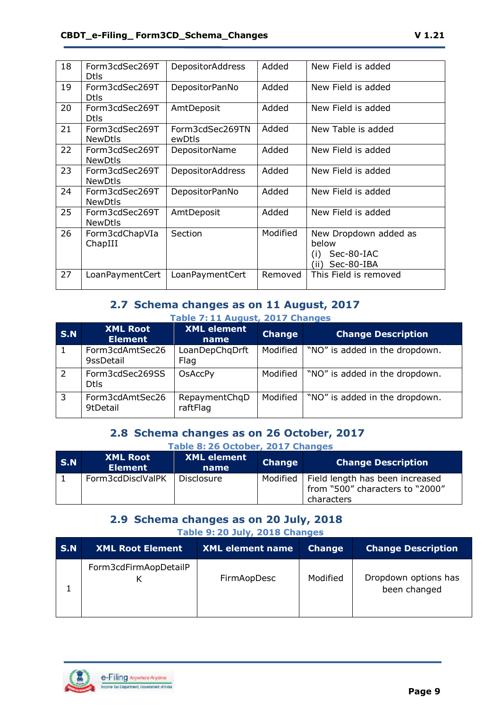| 18 | Form3cdSec269T<br><b>Dtls</b>    | <b>DepositorAddress</b>   | Added    | New Field is added                                                        |
|----|----------------------------------|---------------------------|----------|---------------------------------------------------------------------------|
| 19 | Form3cdSec269T<br><b>Dtls</b>    | DepositorPanNo            | Added    | New Field is added                                                        |
| 20 | Form3cdSec269T<br><b>Dtls</b>    | AmtDeposit                | Added    | New Field is added                                                        |
| 21 | Form3cdSec269T<br><b>NewDtls</b> | Form3cdSec269TN<br>ewDtls | Added    | New Table is added                                                        |
| 22 | Form3cdSec269T<br><b>NewDtls</b> | DepositorName             | Added    | New Field is added                                                        |
| 23 | Form3cdSec269T<br><b>NewDtls</b> | <b>DepositorAddress</b>   | Added    | New Field is added                                                        |
| 24 | Form3cdSec269T<br><b>NewDtls</b> | DepositorPanNo            | Added    | New Field is added                                                        |
| 25 | Form3cdSec269T<br><b>NewDtls</b> | AmtDeposit                | Added    | New Field is added                                                        |
| 26 | Form3cdChapVIa<br>ChapIII        | Section                   | Modified | New Dropdown added as<br>below<br>Sec-80-IAC<br>(i)<br>Sec-80-IBA<br>(ii) |
| 27 | LoanPaymentCert                  | LoanPaymentCert           | Removed  | This Field is removed                                                     |

#### **2.7 Schema changes as on 11 August, 2017 Table 7: 11 August, 2017 Changes**

<span id="page-8-0"></span>

| <b>S.N</b> | <b>XML Root</b><br><b>Element</b> | <b>XML</b> element<br>name | <b>Change</b> | <b>Change Description</b>      |
|------------|-----------------------------------|----------------------------|---------------|--------------------------------|
|            | Form3cdAmtSec26<br>9ssDetail      | LoanDepChqDrft<br>Flag     | Modified      | "NO" is added in the dropdown. |
|            | Form3cdSec269SS<br><b>Dtls</b>    | <b>OsAccPy</b>             | Modified      | "NO" is added in the dropdown. |
| 3          | Form3cdAmtSec26<br>9tDetail       | RepaymentChqD<br>raftFlag  | Modified      | "NO" is added in the dropdown. |

## **2.8 Schema changes as on 26 October, 2017**

<span id="page-8-1"></span>

|     | Table 8: 26 October, 2017 Changes |                            |               |                                                                                             |  |
|-----|-----------------------------------|----------------------------|---------------|---------------------------------------------------------------------------------------------|--|
| S.N | <b>XML Root</b><br><b>Element</b> | <b>XML</b> element<br>name | <b>Change</b> | <b>Change Description</b>                                                                   |  |
|     | Form3cdDisclValPK                 | Disclosure                 |               | Modified   Field length has been increased<br>from "500" characters to "2000"<br>characters |  |

### **2.9 Schema changes as on 20 July, 2018 Table 9: 20 July, 2018 Changes**

<span id="page-8-2"></span>

| <b>S.N</b> | <b>XML Root Element</b> | <b>XML element name</b> | <b>Change</b> | <b>Change Description</b>            |
|------------|-------------------------|-------------------------|---------------|--------------------------------------|
|            | Form3cdFirmAopDetailP   | FirmAopDesc             | Modified      | Dropdown options has<br>been changed |

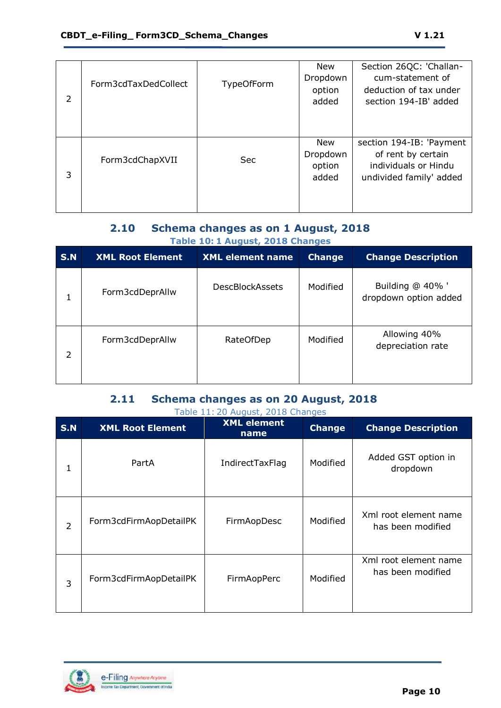| 2 | Form3cdTaxDedCollect | <b>TypeOfForm</b> | New<br>Dropdown<br>option<br>added        | Section 26QC: 'Challan-<br>cum-statement of<br>deduction of tax under<br>section 194-IB' added    |
|---|----------------------|-------------------|-------------------------------------------|---------------------------------------------------------------------------------------------------|
| 3 | Form3cdChapXVII      | <b>Sec</b>        | <b>New</b><br>Dropdown<br>option<br>added | section 194-IB: 'Payment<br>of rent by certain<br>individuals or Hindu<br>undivided family' added |

### **2.10 Schema changes as on 1 August, 2018 Table 10: 1 August, 2018 Changes**

<span id="page-9-0"></span>

| <b>S.N</b>     | <b>XML Root Element</b> | <b>XML</b> element name | <b>Change</b> | <b>Change Description</b>                 |
|----------------|-------------------------|-------------------------|---------------|-------------------------------------------|
| 1              | Form3cdDeprAllw         | <b>DescBlockAssets</b>  | Modified      | Building @ 40% '<br>dropdown option added |
| $\overline{2}$ | Form3cdDeprAllw         | RateOfDep               | Modified      | Allowing 40%<br>depreciation rate         |

#### **2.11 Schema changes as on 20 August, 2018**   $Table 11: 20.106$

<span id="page-9-1"></span>

| <b>S.N</b>     | <b>XML Root Element</b> | <b>XML element</b><br>name | <b>Change</b> | <b>Change Description</b>                  |
|----------------|-------------------------|----------------------------|---------------|--------------------------------------------|
| 1              | PartA                   | <b>IndirectTaxFlag</b>     | Modified      | Added GST option in<br>dropdown            |
| $\overline{2}$ | Form3cdFirmAopDetailPK  | FirmAopDesc                | Modified      | Xml root element name<br>has been modified |
| 3              | Form3cdFirmAopDetailPK  | FirmAopPerc                | Modified      | Xml root element name<br>has been modified |

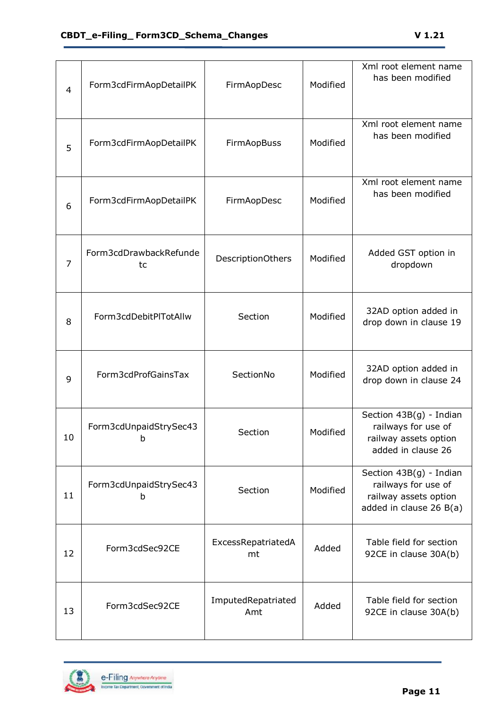| $\overline{4}$ | Form3cdFirmAopDetailPK       | FirmAopDesc               | Modified | Xml root element name<br>has been modified                                                         |
|----------------|------------------------------|---------------------------|----------|----------------------------------------------------------------------------------------------------|
| 5              | Form3cdFirmAopDetailPK       | FirmAopBuss               | Modified | Xml root element name<br>has been modified                                                         |
| 6              | Form3cdFirmAopDetailPK       | FirmAopDesc               | Modified | Xml root element name<br>has been modified                                                         |
| 7              | Form3cdDrawbackRefunde<br>tc | <b>DescriptionOthers</b>  | Modified | Added GST option in<br>dropdown                                                                    |
| 8              | Form3cdDebitPlTotAllw        | Section                   | Modified | 32AD option added in<br>drop down in clause 19                                                     |
| 9              | Form3cdProfGainsTax          | SectionNo                 | Modified | 32AD option added in<br>drop down in clause 24                                                     |
| 10             | Form3cdUnpaidStrySec43<br>b  | Section                   | Modified | Section 43B(g) - Indian<br>railways for use of<br>railway assets option<br>added in clause 26      |
| 11             | Form3cdUnpaidStrySec43<br>b  | Section                   | Modified | Section 43B(g) - Indian<br>railways for use of<br>railway assets option<br>added in clause 26 B(a) |
| 12             | Form3cdSec92CE               | ExcessRepatriatedA<br>mt  | Added    | Table field for section<br>92CE in clause 30A(b)                                                   |
| 13             | Form3cdSec92CE               | ImputedRepatriated<br>Amt | Added    | Table field for section<br>92CE in clause 30A(b)                                                   |

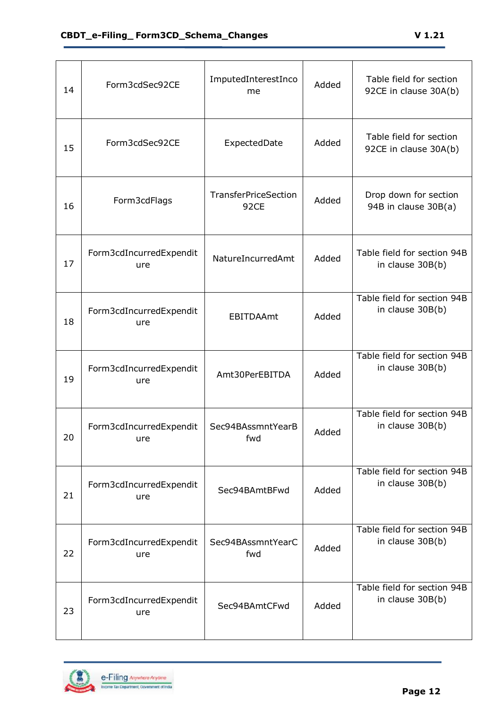| 14 | Form3cdSec92CE                 | ImputedInterestInco<br>me    | Added | Table field for section<br>92CE in clause 30A(b) |
|----|--------------------------------|------------------------------|-------|--------------------------------------------------|
| 15 | Form3cdSec92CE                 | ExpectedDate                 | Added | Table field for section<br>92CE in clause 30A(b) |
| 16 | Form3cdFlags                   | TransferPriceSection<br>92CE | Added | Drop down for section<br>94B in clause 30B(a)    |
| 17 | Form3cdIncurredExpendit<br>ure | NatureIncurredAmt            | Added | Table field for section 94B<br>in clause 30B(b)  |
| 18 | Form3cdIncurredExpendit<br>ure | <b>EBITDAAmt</b>             | Added | Table field for section 94B<br>in clause 30B(b)  |
| 19 | Form3cdIncurredExpendit<br>ure | Amt30PerEBITDA               | Added | Table field for section 94B<br>in clause 30B(b)  |
| 20 | Form3cdIncurredExpendit<br>ure | Sec94BAssmntYearB<br>fwd     | Added | Table field for section 94B<br>in clause 30B(b)  |
| 21 | Form3cdIncurredExpendit<br>ure | Sec94BAmtBFwd                | Added | Table field for section 94B<br>in clause 30B(b)  |
| 22 | Form3cdIncurredExpendit<br>ure | Sec94BAssmntYearC<br>fwd     | Added | Table field for section 94B<br>in clause 30B(b)  |
| 23 | Form3cdIncurredExpendit<br>ure | Sec94BAmtCFwd                | Added | Table field for section 94B<br>in clause 30B(b)  |

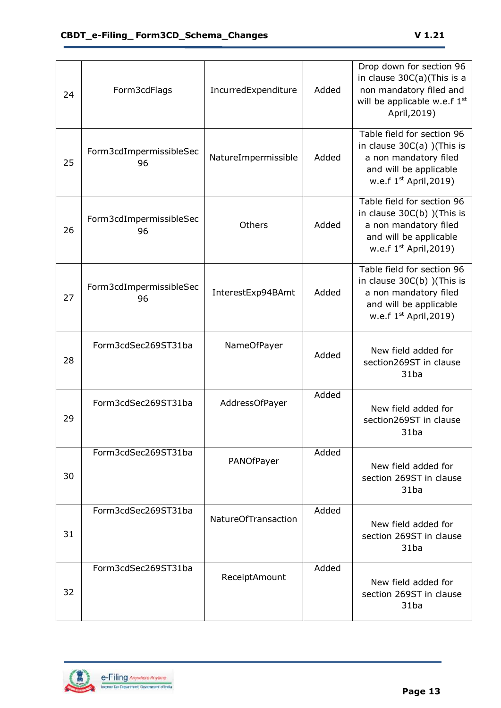| 24 | Form3cdFlags                  | IncurredExpenditure | Added | Drop down for section 96<br>in clause 30C(a)(This is a<br>non mandatory filed and<br>will be applicable w.e.f 1st<br>April, 2019)<br>Table field for section 96 |
|----|-------------------------------|---------------------|-------|-----------------------------------------------------------------------------------------------------------------------------------------------------------------|
| 25 | Form3cdImpermissibleSec<br>96 | NatureImpermissible | Added | in clause $30C(a)$ ) (This is<br>a non mandatory filed<br>and will be applicable<br>w.e.f $1st$ April, 2019)                                                    |
| 26 | Form3cdImpermissibleSec<br>96 | Others              | Added | Table field for section 96<br>in clause $30C(b)$ ) (This is<br>a non mandatory filed<br>and will be applicable<br>w.e.f $1st$ April, 2019)                      |
| 27 | Form3cdImpermissibleSec<br>96 | InterestExp94BAmt   | Added | Table field for section 96<br>in clause 30C(b) )(This is<br>a non mandatory filed<br>and will be applicable<br>w.e.f $1st$ April, 2019)                         |
| 28 | Form3cdSec269ST31ba           | NameOfPayer         | Added | New field added for<br>section269ST in clause<br>31ba                                                                                                           |
| 29 | Form3cdSec269ST31ba           | AddressOfPayer      | Added | New field added for<br>section269ST in clause<br>31ba                                                                                                           |
| 30 | Form3cdSec269ST31ba           | PANOfPayer          | Added | New field added for<br>section 269ST in clause<br>31ba                                                                                                          |
| 31 | Form3cdSec269ST31ba           | NatureOfTransaction | Added | New field added for<br>section 269ST in clause<br>31ba                                                                                                          |
| 32 | Form3cdSec269ST31ba           | ReceiptAmount       | Added | New field added for<br>section 269ST in clause<br>31ba                                                                                                          |

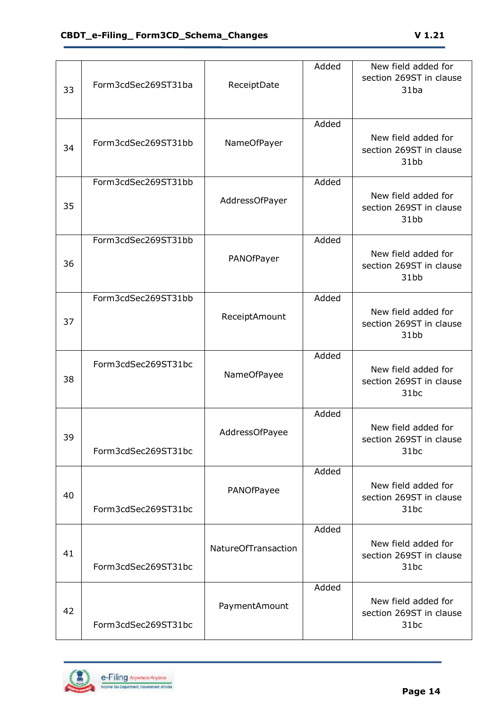| 33 | Form3cdSec269ST31ba | ReceiptDate                | Added | New field added for<br>section 269ST in clause<br>31ba |
|----|---------------------|----------------------------|-------|--------------------------------------------------------|
| 34 | Form3cdSec269ST31bb | NameOfPayer                | Added | New field added for<br>section 269ST in clause<br>31bb |
| 35 | Form3cdSec269ST31bb | AddressOfPayer             | Added | New field added for<br>section 269ST in clause<br>31bb |
| 36 | Form3cdSec269ST31bb | PANOfPayer                 | Added | New field added for<br>section 269ST in clause<br>31bb |
| 37 | Form3cdSec269ST31bb | ReceiptAmount              | Added | New field added for<br>section 269ST in clause<br>31bb |
| 38 | Form3cdSec269ST31bc | NameOfPayee                | Added | New field added for<br>section 269ST in clause<br>31bc |
| 39 | Form3cdSec269ST31bc | AddressOfPayee             | Added | New field added for<br>section 269ST in clause<br>31bc |
| 40 | Form3cdSec269ST31bc | PANOfPayee                 | Added | New field added for<br>section 269ST in clause<br>31bc |
| 41 | Form3cdSec269ST31bc | <b>NatureOfTransaction</b> | Added | New field added for<br>section 269ST in clause<br>31bc |
| 42 | Form3cdSec269ST31bc | PaymentAmount              | Added | New field added for<br>section 269ST in clause<br>31bc |

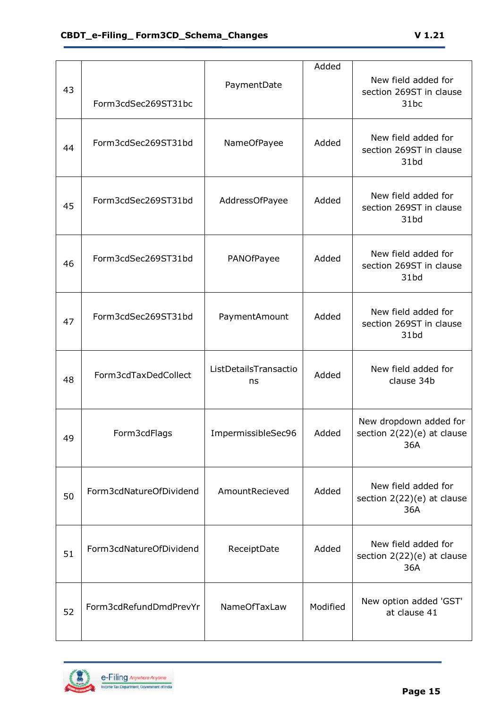| 43 | Form3cdSec269ST31bc     | PaymentDate                 | Added    | New field added for<br>section 269ST in clause<br>31bc      |
|----|-------------------------|-----------------------------|----------|-------------------------------------------------------------|
| 44 | Form3cdSec269ST31bd     | NameOfPayee                 | Added    | New field added for<br>section 269ST in clause<br>31bd      |
| 45 | Form3cdSec269ST31bd     | AddressOfPayee              | Added    | New field added for<br>section 269ST in clause<br>31bd      |
| 46 | Form3cdSec269ST31bd     | PANOfPayee                  | Added    | New field added for<br>section 269ST in clause<br>31bd      |
| 47 | Form3cdSec269ST31bd     | PaymentAmount               | Added    | New field added for<br>section 269ST in clause<br>31bd      |
| 48 | Form3cdTaxDedCollect    | ListDetailsTransactio<br>ns | Added    | New field added for<br>clause 34b                           |
| 49 | Form3cdFlags            | ImpermissibleSec96          | Added    | New dropdown added for<br>section 2(22)(e) at clause<br>36A |
| 50 | Form3cdNatureOfDividend | AmountRecieved              | Added    | New field added for<br>section 2(22)(e) at clause<br>36A    |
| 51 | Form3cdNatureOfDividend | ReceiptDate                 | Added    | New field added for<br>section 2(22)(e) at clause<br>36A    |
| 52 | Form3cdRefundDmdPrevYr  | <b>NameOfTaxLaw</b>         | Modified | New option added 'GST'<br>at clause 41                      |

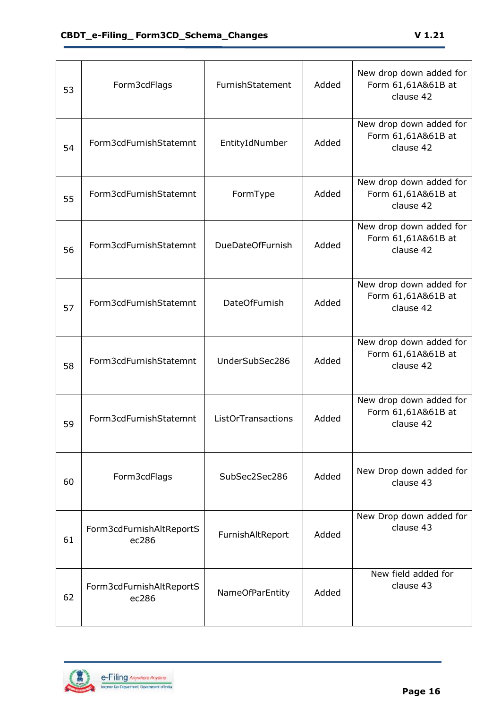| 53 | Form3cdFlags                      | FurnishStatement        | Added | New drop down added for<br>Form 61,61A&61B at<br>clause 42 |
|----|-----------------------------------|-------------------------|-------|------------------------------------------------------------|
| 54 | Form3cdFurnishStatemnt            | EntityIdNumber          | Added | New drop down added for<br>Form 61,61A&61B at<br>clause 42 |
| 55 | Form3cdFurnishStatemnt            | FormType                | Added | New drop down added for<br>Form 61,61A&61B at<br>clause 42 |
| 56 | Form3cdFurnishStatemnt            | <b>DueDateOfFurnish</b> | Added | New drop down added for<br>Form 61,61A&61B at<br>clause 42 |
| 57 | Form3cdFurnishStatemnt            | <b>DateOfFurnish</b>    | Added | New drop down added for<br>Form 61,61A&61B at<br>clause 42 |
| 58 | Form3cdFurnishStatemnt            | UnderSubSec286          | Added | New drop down added for<br>Form 61,61A&61B at<br>clause 42 |
| 59 | Form3cdFurnishStatemnt            | ListOrTransactions      | Added | New drop down added for<br>Form 61,61A&61B at<br>clause 42 |
| 60 | Form3cdFlags                      | SubSec2Sec286           | Added | New Drop down added for<br>clause 43                       |
| 61 | Form3cdFurnishAltReportS<br>ec286 | FurnishAltReport        | Added | New Drop down added for<br>clause 43                       |
| 62 | Form3cdFurnishAltReportS<br>ec286 | <b>NameOfParEntity</b>  | Added | New field added for<br>clause 43                           |

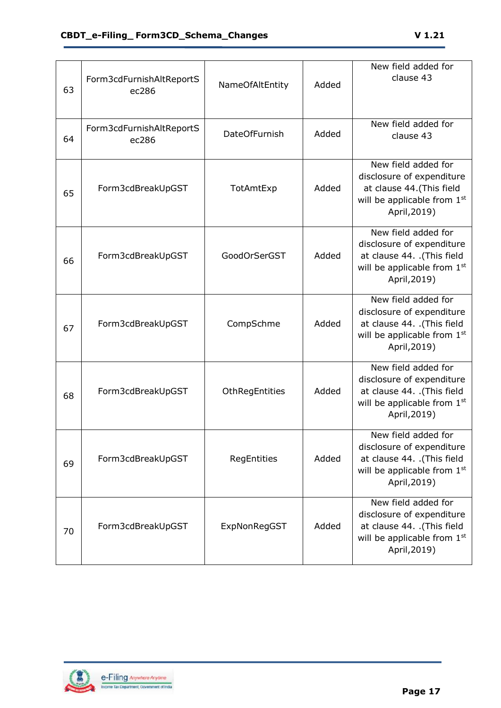| 63 | Form3cdFurnishAltReportS<br>ec286 | NameOfAltEntity      | Added | New field added for<br>clause 43                                                                                                 |
|----|-----------------------------------|----------------------|-------|----------------------------------------------------------------------------------------------------------------------------------|
| 64 | Form3cdFurnishAltReportS<br>ec286 | <b>DateOfFurnish</b> | Added | New field added for<br>clause 43                                                                                                 |
| 65 | Form3cdBreakUpGST                 | TotAmtExp            | Added | New field added for<br>disclosure of expenditure<br>at clause 44. (This field<br>will be applicable from 1st<br>April, 2019)     |
| 66 | Form3cdBreakUpGST                 | GoodOrSerGST         | Added | New field added for<br>disclosure of expenditure<br>at clause 44. .(This field<br>will be applicable from 1st<br>April, 2019)    |
| 67 | Form3cdBreakUpGST                 | CompSchme            | Added | New field added for<br>disclosure of expenditure<br>at clause 44. .(This field<br>will be applicable from 1st<br>April, 2019)    |
| 68 | Form3cdBreakUpGST                 | OthRegEntities       | Added | New field added for<br>disclosure of expenditure<br>at clause 44. .(This field<br>will be applicable from 1st<br>April, 2019)    |
| 69 | Form3cdBreakUpGST                 | RegEntities          | Added | New field added for<br>disclosure of expenditure<br>at clause 44. .(This field<br>will be applicable from 1st<br>April, 2019)    |
| 70 | Form3cdBreakUpGST                 | ExpNonRegGST         | Added | New field added for<br>disclosure of expenditure<br>at clause 44. . (This field<br>will be applicable from $1st$<br>April, 2019) |

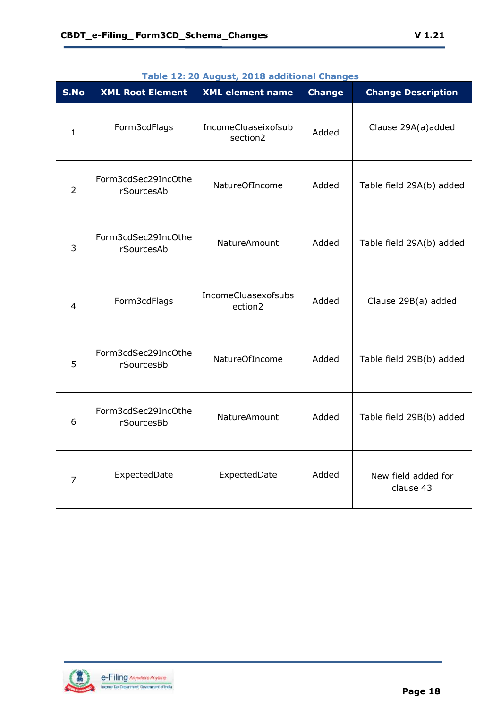| S.No           | <b>XML Root Element</b>           | <b>XML element name</b>         | <b>Change</b> | <b>Change Description</b>        |
|----------------|-----------------------------------|---------------------------------|---------------|----------------------------------|
| $\mathbf{1}$   | Form3cdFlags                      | IncomeCluaseixofsub<br>section2 | Added         | Clause 29A(a)added               |
| $\overline{2}$ | Form3cdSec29IncOthe<br>rSourcesAb | NatureOfIncome                  | Added         | Table field 29A(b) added         |
| 3              | Form3cdSec29IncOthe<br>rSourcesAb | NatureAmount                    | Added         | Table field 29A(b) added         |
| $\overline{4}$ | Form3cdFlags                      | IncomeCluasexofsubs<br>ection2  | Added         | Clause 29B(a) added              |
| 5              | Form3cdSec29IncOthe<br>rSourcesBb | NatureOfIncome                  | Added         | Table field 29B(b) added         |
| 6              | Form3cdSec29IncOthe<br>rSourcesBb | NatureAmount                    | Added         | Table field 29B(b) added         |
| 7              | ExpectedDate                      | ExpectedDate                    | Added         | New field added for<br>clause 43 |

#### **Table 12: 20 August, 2018 additional Changes**

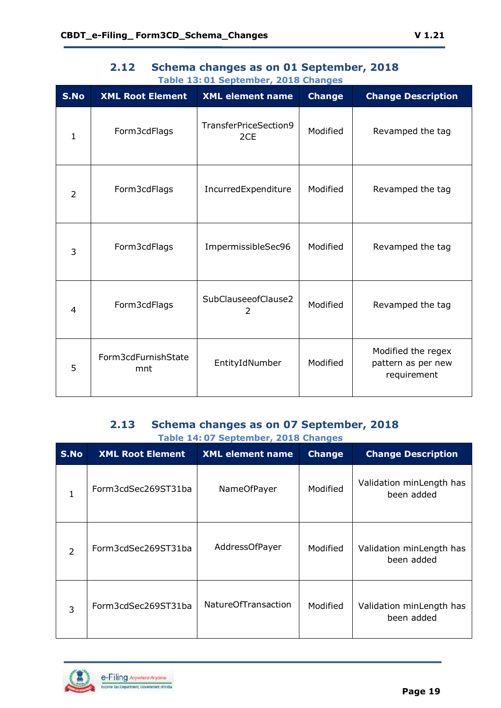<span id="page-18-0"></span>

| S.No           | <b>XML Root Element</b>    | <b>XML element name</b>      | <b>Change</b> | <b>Change Description</b>                               |
|----------------|----------------------------|------------------------------|---------------|---------------------------------------------------------|
| $\mathbf{1}$   | Form3cdFlags               | TransferPriceSection9<br>2CE | Modified      | Revamped the tag                                        |
| $\overline{2}$ | Form3cdFlags               | IncurredExpenditure          | Modified      | Revamped the tag                                        |
| 3              | Form3cdFlags               | ImpermissibleSec96           | Modified      | Revamped the tag                                        |
| $\overline{4}$ | Form3cdFlags               | SubClauseeofClause2<br>2     | Modified      | Revamped the tag                                        |
| 5              | Form3cdFurnishState<br>mnt | EntityIdNumber               | Modified      | Modified the regex<br>pattern as per new<br>requirement |

## **2.12 Schema changes as on 01 September, 2018 Table 13: 01 September, 2018 Changes**

#### **2.13 Schema changes as on 07 September, 2018 Table 14: 07 September, 2018 Changes**

<span id="page-18-1"></span>

| S.No           | <b>XML Root Element</b> | <b>XML element name</b>    | <b>Change</b> | <b>Change Description</b>              |
|----------------|-------------------------|----------------------------|---------------|----------------------------------------|
| 1              | Form3cdSec269ST31ba     | NameOfPayer                | Modified      | Validation minLength has<br>been added |
| $\overline{2}$ | Form3cdSec269ST31ba     | AddressOfPayer             | Modified      | Validation minLength has<br>been added |
| 3              | Form3cdSec269ST31ba     | <b>NatureOfTransaction</b> | Modified      | Validation minLength has<br>been added |



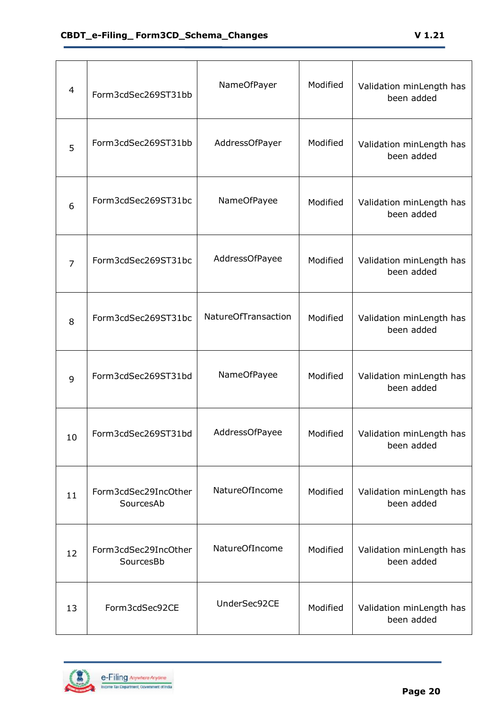| $\overline{4}$ | Form3cdSec269ST31bb               | NameOfPayer                | Modified | Validation minLength has<br>been added |
|----------------|-----------------------------------|----------------------------|----------|----------------------------------------|
| 5              | Form3cdSec269ST31bb               | AddressOfPayer             | Modified | Validation minLength has<br>been added |
| 6              | Form3cdSec269ST31bc               | NameOfPayee                | Modified | Validation minLength has<br>been added |
| 7              | Form3cdSec269ST31bc               | AddressOfPayee             | Modified | Validation minLength has<br>been added |
| 8              | Form3cdSec269ST31bc               | <b>NatureOfTransaction</b> | Modified | Validation minLength has<br>been added |
| 9              | Form3cdSec269ST31bd               | NameOfPayee                | Modified | Validation minLength has<br>been added |
| 10             | Form3cdSec269ST31bd               | AddressOfPayee             | Modified | Validation minLength has<br>been added |
| 11             | Form3cdSec29IncOther<br>SourcesAb | NatureOfIncome             | Modified | Validation minLength has<br>been added |
| 12             | Form3cdSec29IncOther<br>SourcesBb | NatureOfIncome             | Modified | Validation minLength has<br>been added |
| 13             | Form3cdSec92CE                    | UnderSec92CE               | Modified | Validation minLength has<br>been added |

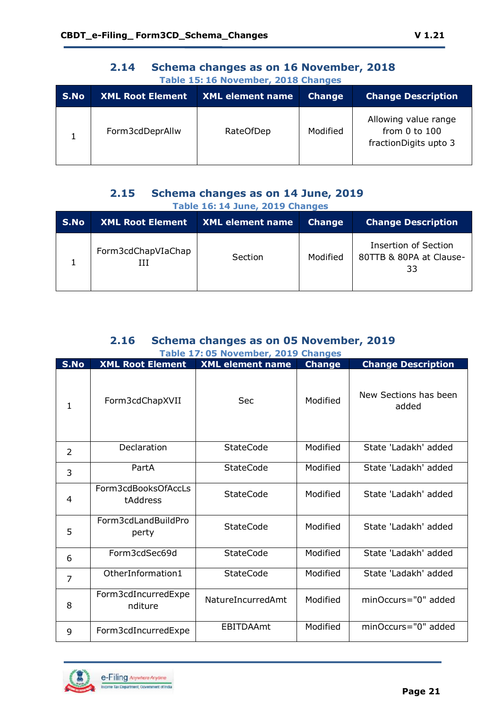<span id="page-20-0"></span>

| Table 15: 16 November, 2018 Changes |                         |                         |               |                                                                |
|-------------------------------------|-------------------------|-------------------------|---------------|----------------------------------------------------------------|
| S.No                                | <b>XML Root Element</b> | <b>XML element name</b> | <b>Change</b> | <b>Change Description</b>                                      |
|                                     | Form3cdDeprAllw         | <b>RateOfDep</b>        | Modified      | Allowing value range<br>from 0 to 100<br>fractionDigits upto 3 |

# **2.14 Schema changes as on 16 November, 2018**

## **2.15 Schema changes as on 14 June, 2019 Table 16: 14 June, 2019 Changes**

<span id="page-20-1"></span>

| S.No | XML Root Element   | XML element name | <b>Change</b> | <b>Change Description</b>                                    |
|------|--------------------|------------------|---------------|--------------------------------------------------------------|
|      | Form3cdChapVIaChap | Section          | Modified      | <b>Insertion of Section</b><br>80TTB & 80PA at Clause-<br>33 |

#### **2.16 Schema changes as on 05 November, 2019 Table 17: 05 November, 2019 Changes**

<span id="page-20-2"></span>

|                |                                 | rapic 17:05 November, 2015 Changes |               |                                |
|----------------|---------------------------------|------------------------------------|---------------|--------------------------------|
| S.No           | <b>XML Root Element</b>         | <b>XML element name</b>            | <b>Change</b> | <b>Change Description</b>      |
| 1              | Form3cdChapXVII                 | <b>Sec</b>                         | Modified      | New Sections has been<br>added |
| 2              | Declaration                     | <b>StateCode</b>                   | Modified      | State 'Ladakh' added           |
| 3              | PartA                           | <b>StateCode</b>                   | Modified      | State 'Ladakh' added           |
| 4              | Form3cdBooksOfAccLs<br>tAddress | <b>StateCode</b>                   | Modified      | State 'Ladakh' added           |
| 5              | Form3cdLandBuildPro<br>perty    | <b>StateCode</b>                   | Modified      | State 'Ladakh' added           |
| 6              | Form3cdSec69d                   | <b>StateCode</b>                   | Modified      | State 'Ladakh' added           |
| $\overline{7}$ | OtherInformation1               | <b>StateCode</b>                   | Modified      | State 'Ladakh' added           |
| 8              | Form3cdIncurredExpe<br>nditure  | NatureIncurredAmt                  | Modified      | minOccurs="0" added            |
| 9              | Form3cdIncurredExpe             | <b>EBITDAAmt</b>                   | Modified      | minOccurs="0" added            |

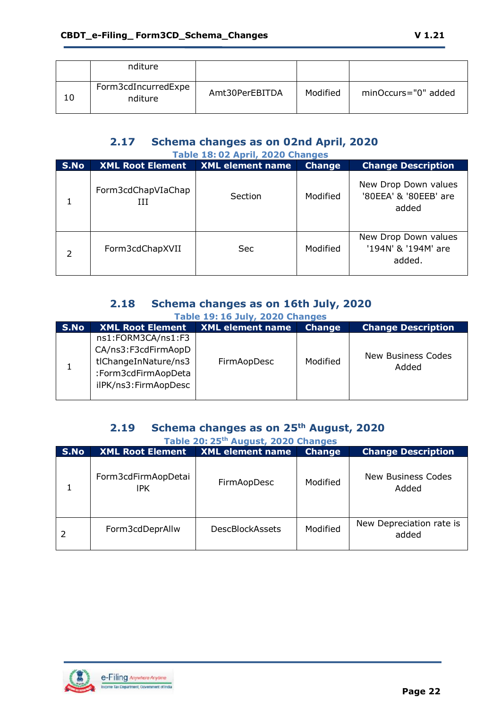|    | nditure                        |                |          |                     |
|----|--------------------------------|----------------|----------|---------------------|
| 10 | Form3cdIncurredExpe<br>nditure | Amt30PerEBITDA | Modified | minOccurs="0" added |

#### **2.17 Schema changes as on 02nd April, 2020 Table 18: 02 April, 2020 Changes**

<span id="page-21-0"></span>

| Table 18:02 April, 2020 Changes |                         |                         |               |                                                        |
|---------------------------------|-------------------------|-------------------------|---------------|--------------------------------------------------------|
| S.No                            | <b>XML Root Element</b> | <b>XML element name</b> | <b>Change</b> | <b>Change Description</b>                              |
|                                 | Form3cdChapVIaChap<br>Ш | Section                 | Modified      | New Drop Down values<br>'80EEA' & '80EEB' are<br>added |
| 2                               | Form3cdChapXVII         | Sec                     | Modified      | New Drop Down values<br>'194N' & '194M' are<br>added.  |

## **2.18 Schema changes as on 16th July, 2020 Table 19: 16 July, 2020 Changes**

<span id="page-21-1"></span>

| S.No | <b>XML Root Element</b>                                                                                          | <b>XML</b> element name | <b>Change</b> | <b>Change Description</b>   |
|------|------------------------------------------------------------------------------------------------------------------|-------------------------|---------------|-----------------------------|
|      | ns1:FORM3CA/ns1:F3<br>CA/ns3:F3cdFirmAopD<br>tlChangeInNature/ns3<br>:Form3cdFirmAopDeta<br>ilPK/ns3:FirmAopDesc | FirmAopDesc             | Modified      | New Business Codes<br>Added |

## **2.19 Schema changes as on 25th August, 2020**

<span id="page-21-2"></span>

| Table 20: 25 <sup>th</sup> August, 2020 Changes |                                   |                         |               |                                   |
|-------------------------------------------------|-----------------------------------|-------------------------|---------------|-----------------------------------|
| S.No                                            | <b>XML Root Element</b>           | <b>XML element name</b> | <b>Change</b> | <b>Change Description</b>         |
|                                                 | Form3cdFirmAopDetai<br><b>IPK</b> | FirmAopDesc             | Modified      | New Business Codes<br>Added       |
|                                                 | Form3cdDeprAllw                   | <b>DescBlockAssets</b>  | Modified      | New Depreciation rate is<br>added |